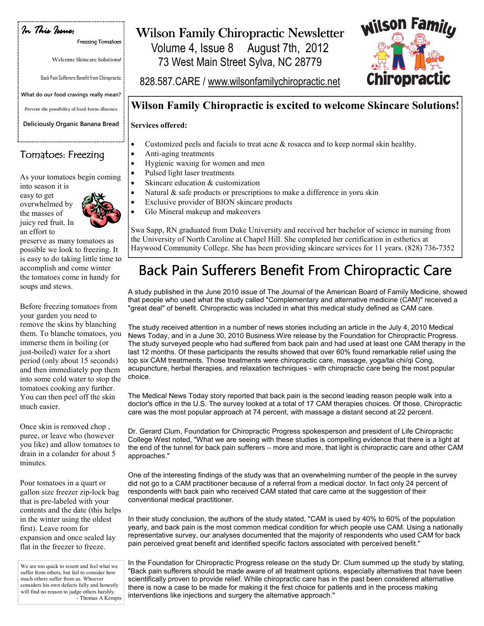In This Issue: In This Issue:

Freezing Tomatoes

Welcome Skincare Solutions!

Back Pain Sufferers Benefit from Chiropractic

What do our food cravings really mean?

Prevent the possibility of food-borne illnesses

Deliciously Organic Banana Bread

### Tomatoes: Freezing

As your tomatoes begin coming

into season it is easy to get overwhelmed by the masses of juicy red fruit. In an effort to



preserve as many tomatoes as possible we look to freezing. It is easy to do taking little time to accomplish and come winter the tomatoes come in handy for soups and stews.

Before freezing tomatoes from your garden you need to remove the skins by blanching them. To blanche tomatoes, you immerse them in boiling (or just-boiled) water for a short period (only about 15 seconds) and then immediately pop them into some cold water to stop the tomatoes cooking any further. You can then peel off the skin much easier.

Once skin is removed chop , puree, or leave who (however you like) and allow tomatoes to drain in a colander for about 5 minutes.

Pour tomatoes in a quart or gallon size freezer zip-lock bag that is pre-labeled with your contents and the date (this helps in the winter using the oldest first). Leave room for expansion and once sealed lay flat in the freezer to freeze.

We are too quick to resent and feel what we suffer from others, but fail to consider how much others suffer from us. Whoever considers his own defects fully and honestly will find no reason to judge others harshly. - Thomas A Kempis

## Wilson Family Chiropractic Newsletter

Volume 4, Issue 8 August 7th, 2012 73 West Main Street Sylva, NC 28779



828.587.CARE / www.wilsonfamilychiropractic.net

### Wilson Family Chiropractic is excited to welcome Skincare Solutions!

#### Services offered:

- Customized peels and facials to treat acne  $\&$  rosacea and to keep normal skin healthy.
- Anti-aging treatments • Hygienic waxing for women and men
	- Pulsed light laser treatments
- Skincare education & customization
- Natural & safe products or prescriptions to make a difference in yoru skin
- Exclusive provider of BION skincare products
- Glo Mineral makeup and makeovers

Swa Sapp, RN graduated from Duke University and received her bachelor of science in nursing from the University of North Caroline at Chapel Hill. She completed her certification in esthetics at Haywood Community College. She has been providing skincare services for 11 years. (828) 736-7352

# Back Pain Sufferers Benefit From Chiropractic Care

A study published in the June 2010 issue of The Journal of the American Board of Family Medicine, showed that people who used what the study called "Complementary and alternative medicine (CAM)" received a "great deal" of benefit. Chiropractic was included in what this medical study defined as CAM care.

The study received attention in a number of news stories including an article in the July 4, 2010 Medical News Today, and in a June 30, 2010 Business Wire release by the Foundation for Chiropractic Progress. The study surveyed people who had suffered from back pain and had used at least one CAM therapy in the last 12 months. Of these participants the results showed that over 60% found remarkable relief using the top six CAM treatments. Those treatments were chiropractic care, massage, yoga/tai chi/qi Cong, acupuncture, herbal therapies, and relaxation techniques - with chiropractic care being the most popular choice.

The Medical News Today story reported that back pain is the second leading reason people walk into a doctor's office in the U.S. The survey looked at a total of 17 CAM therapies choices. Of those, Chiropractic care was the most popular approach at 74 percent, with massage a distant second at 22 percent.

Dr. Gerard Clum, Foundation for Chiropractic Progress spokesperson and president of Life Chiropractic College West noted, "What we are seeing with these studies is compelling evidence that there is a light at the end of the tunnel for back pain sufferers – more and more, that light is chiropractic care and other CAM approaches."

One of the interesting findings of the study was that an overwhelming number of the people in the survey did not go to a CAM practitioner because of a referral from a medical doctor. In fact only 24 percent of respondents with back pain who received CAM stated that care came at the suggestion of their conventional medical practitioner.

In their study conclusion, the authors of the study stated, "CAM is used by 40% to 60% of the population yearly, and back pain is the most common medical condition for which people use CAM. Using a nationally representative survey, our analyses documented that the majority of respondents who used CAM for back pain perceived great benefit and identified specific factors associated with perceived benefit."

In the Foundation for Chiropractic Progress release on the study Dr. Clum summed up the study by stating, "Back pain sufferers should be made aware of all treatment options, especially alternatives that have been scientifically proven to provide relief. While chiropractic care has in the past been considered alternative there is now a case to be made for making it the first choice for patients and in the process making interventions like injections and surgery the alternative approach."